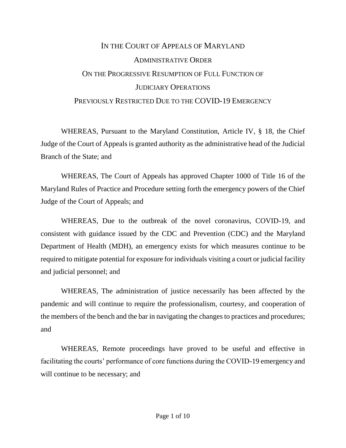## IN THE COURT OF APPEALS OF MARYLAND ADMINISTRATIVE ORDER ON THE PROGRESSIVE RESUMPTION OF FULL FUNCTION OF JUDICIARY OPERATIONS PREVIOUSLY RESTRICTED DUE TO THE COVID-19 EMERGENCY

WHEREAS, Pursuant to the Maryland Constitution, Article IV, § 18, the Chief Judge of the Court of Appeals is granted authority as the administrative head of the Judicial Branch of the State; and

WHEREAS, The Court of Appeals has approved Chapter 1000 of Title 16 of the Maryland Rules of Practice and Procedure setting forth the emergency powers of the Chief Judge of the Court of Appeals; and

WHEREAS, Due to the outbreak of the novel coronavirus, COVID-19, and consistent with guidance issued by the CDC and Prevention (CDC) and the Maryland Department of Health (MDH), an emergency exists for which measures continue to be required to mitigate potential for exposure for individuals visiting a court or judicial facility and judicial personnel; and

WHEREAS, The administration of justice necessarily has been affected by the pandemic and will continue to require the professionalism, courtesy, and cooperation of the members of the bench and the bar in navigating the changes to practices and procedures; and

WHEREAS, Remote proceedings have proved to be useful and effective in facilitating the courts' performance of core functions during the COVID-19 emergency and will continue to be necessary; and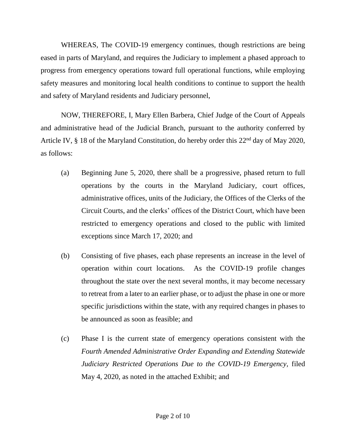WHEREAS, The COVID-19 emergency continues, though restrictions are being eased in parts of Maryland, and requires the Judiciary to implement a phased approach to progress from emergency operations toward full operational functions, while employing safety measures and monitoring local health conditions to continue to support the health and safety of Maryland residents and Judiciary personnel,

NOW, THEREFORE, I, Mary Ellen Barbera, Chief Judge of the Court of Appeals and administrative head of the Judicial Branch, pursuant to the authority conferred by Article IV,  $\S$  18 of the Maryland Constitution, do hereby order this 22<sup>nd</sup> day of May 2020, as follows:

- (a) Beginning June 5, 2020, there shall be a progressive, phased return to full operations by the courts in the Maryland Judiciary, court offices, administrative offices, units of the Judiciary, the Offices of the Clerks of the Circuit Courts, and the clerks' offices of the District Court, which have been restricted to emergency operations and closed to the public with limited exceptions since March 17, 2020; and
- (b) Consisting of five phases, each phase represents an increase in the level of operation within court locations. As the COVID-19 profile changes throughout the state over the next several months, it may become necessary to retreat from a later to an earlier phase, or to adjust the phase in one or more specific jurisdictions within the state, with any required changes in phases to be announced as soon as feasible; and
- (c) Phase I is the current state of emergency operations consistent with the *Fourth Amended Administrative Order Expanding and Extending Statewide Judiciary Restricted Operations Due to the COVID-19 Emergency,* filed May 4, 2020, as noted in the attached Exhibit; and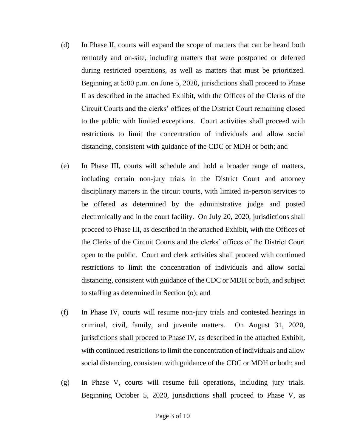- (d) In Phase II, courts will expand the scope of matters that can be heard both remotely and on-site, including matters that were postponed or deferred during restricted operations, as well as matters that must be prioritized. Beginning at 5:00 p.m. on June 5, 2020, jurisdictions shall proceed to Phase II as described in the attached Exhibit, with the Offices of the Clerks of the Circuit Courts and the clerks' offices of the District Court remaining closed to the public with limited exceptions. Court activities shall proceed with restrictions to limit the concentration of individuals and allow social distancing, consistent with guidance of the CDC or MDH or both; and
- (e) In Phase III, courts will schedule and hold a broader range of matters, including certain non-jury trials in the District Court and attorney disciplinary matters in the circuit courts, with limited in-person services to be offered as determined by the administrative judge and posted electronically and in the court facility. On July 20, 2020, jurisdictions shall proceed to Phase III, as described in the attached Exhibit, with the Offices of the Clerks of the Circuit Courts and the clerks' offices of the District Court open to the public. Court and clerk activities shall proceed with continued restrictions to limit the concentration of individuals and allow social distancing, consistent with guidance of the CDC or MDH or both, and subject to staffing as determined in Section (o); and
- (f) In Phase IV, courts will resume non-jury trials and contested hearings in criminal, civil, family, and juvenile matters. On August 31, 2020, jurisdictions shall proceed to Phase IV, as described in the attached Exhibit, with continued restrictions to limit the concentration of individuals and allow social distancing, consistent with guidance of the CDC or MDH or both; and
- (g) In Phase V, courts will resume full operations, including jury trials. Beginning October 5, 2020, jurisdictions shall proceed to Phase V, as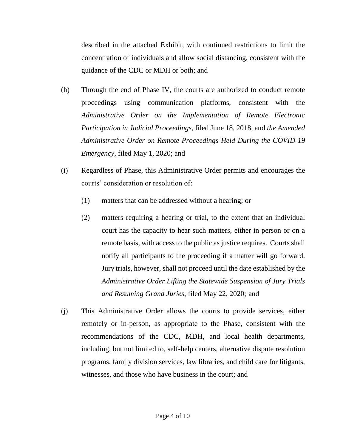described in the attached Exhibit, with continued restrictions to limit the concentration of individuals and allow social distancing, consistent with the guidance of the CDC or MDH or both; and

- (h) Through the end of Phase IV, the courts are authorized to conduct remote proceedings using communication platforms, consistent with the *Administrative Order on the Implementation of Remote Electronic Participation in Judicial Proceedings*, filed June 18, 2018, and *the Amended Administrative Order on Remote Proceedings Held During the COVID-19 Emergency,* filed May 1, 2020; and
- (i) Regardless of Phase, this Administrative Order permits and encourages the courts' consideration or resolution of:
	- (1) matters that can be addressed without a hearing; or
	- (2) matters requiring a hearing or trial, to the extent that an individual court has the capacity to hear such matters, either in person or on a remote basis, with access to the public as justice requires. Courts shall notify all participants to the proceeding if a matter will go forward. Jury trials, however, shall not proceed until the date established by the *Administrative Order Lifting the Statewide Suspension of Jury Trials and Resuming Grand Juries*, filed May 22, 2020*;* and
- (j) This Administrative Order allows the courts to provide services, either remotely or in-person, as appropriate to the Phase, consistent with the recommendations of the CDC, MDH, and local health departments, including, but not limited to, self-help centers, alternative dispute resolution programs, family division services, law libraries, and child care for litigants, witnesses, and those who have business in the court; and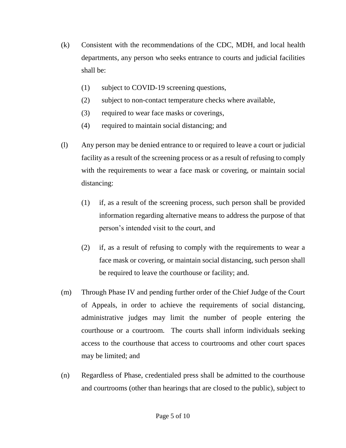- (k) Consistent with the recommendations of the CDC, MDH, and local health departments, any person who seeks entrance to courts and judicial facilities shall be:
	- (1) subject to COVID-19 screening questions,
	- (2) subject to non-contact temperature checks where available,
	- (3) required to wear face masks or coverings,
	- (4) required to maintain social distancing; and
- (l) Any person may be denied entrance to or required to leave a court or judicial facility as a result of the screening process or as a result of refusing to comply with the requirements to wear a face mask or covering, or maintain social distancing:
	- (1) if, as a result of the screening process, such person shall be provided information regarding alternative means to address the purpose of that person's intended visit to the court, and
	- (2) if, as a result of refusing to comply with the requirements to wear a face mask or covering, or maintain social distancing, such person shall be required to leave the courthouse or facility; and.
- (m) Through Phase IV and pending further order of the Chief Judge of the Court of Appeals, in order to achieve the requirements of social distancing, administrative judges may limit the number of people entering the courthouse or a courtroom. The courts shall inform individuals seeking access to the courthouse that access to courtrooms and other court spaces may be limited; and
- (n) Regardless of Phase, credentialed press shall be admitted to the courthouse and courtrooms (other than hearings that are closed to the public), subject to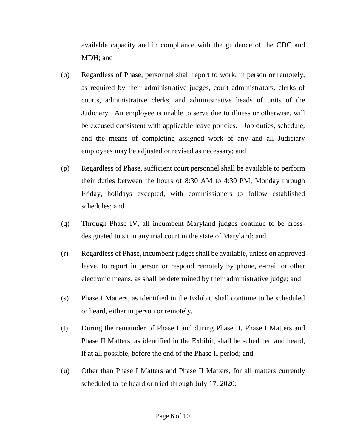available capacity and in compliance with the guidance of the CDC and MDH; and

- (o) Regardless of Phase, personnel shall report to work, in person or remotely, as required by their administrative judges, court administrators, clerks of courts, administrative clerks, and administrative heads of units of the Judiciary. An employee is unable to serve due to illness or otherwise, will be excused consistent with applicable leave policies. Job duties, schedule, and the means of completing assigned work of any and all Judiciary employees may be adjusted or revised as necessary; and
- (p) Regardless of Phase, sufficient court personnel shall be available to perform their duties between the hours of 8:30 AM to 4:30 PM, Monday through Friday, holidays excepted, with commissioners to follow established schedules; and
- (q) Through Phase IV, all incumbent Maryland judges continue to be crossdesignated to sit in any trial court in the state of Maryland; and
- (r) Regardless of Phase, incumbent judges shall be available, unless on approved leave, to report in person or respond remotely by phone, e-mail or other electronic means, as shall be determined by their administrative judge; and
- (s) Phase I Matters, as identified in the Exhibit, shall continue to be scheduled or heard, either in person or remotely.
- (t) During the remainder of Phase I and during Phase II, Phase I Matters and Phase II Matters, as identified in the Exhibit, shall be scheduled and heard, if at all possible, before the end of the Phase II period; and
- (u) Other than Phase I Matters and Phase II Matters, for all matters currently scheduled to be heard or tried through July 17, 2020: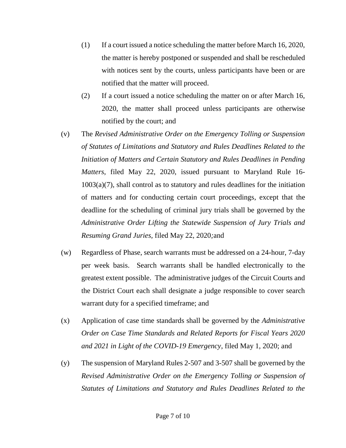- (1) If a court issued a notice scheduling the matter before March 16, 2020, the matter is hereby postponed or suspended and shall be rescheduled with notices sent by the courts, unless participants have been or are notified that the matter will proceed.
- (2) If a court issued a notice scheduling the matter on or after March 16, 2020, the matter shall proceed unless participants are otherwise notified by the court; and
- (v) The *Revised Administrative Order on the Emergency Tolling or Suspension of Statutes of Limitations and Statutory and Rules Deadlines Related to the Initiation of Matters and Certain Statutory and Rules Deadlines in Pending Matters*, filed May 22, 2020, issued pursuant to Maryland Rule 16- 1003(a)(7), shall control as to statutory and rules deadlines for the initiation of matters and for conducting certain court proceedings, except that the deadline for the scheduling of criminal jury trials shall be governed by the *Administrative Order Lifting the Statewide Suspension of Jury Trials and Resuming Grand Juries,* filed May 22, 2020*;*and
- (w) Regardless of Phase, search warrants must be addressed on a 24-hour, 7-day per week basis. Search warrants shall be handled electronically to the greatest extent possible. The administrative judges of the Circuit Courts and the District Court each shall designate a judge responsible to cover search warrant duty for a specified timeframe; and
- (x) Application of case time standards shall be governed by the *Administrative Order on Case Time Standards and Related Reports for Fiscal Years 2020 and 2021 in Light of the COVID-19 Emergency*, filed May 1, 2020; and
- (y) The suspension of Maryland Rules 2-507 and 3-507 shall be governed by the *Revised Administrative Order on the Emergency Tolling or Suspension of Statutes of Limitations and Statutory and Rules Deadlines Related to the*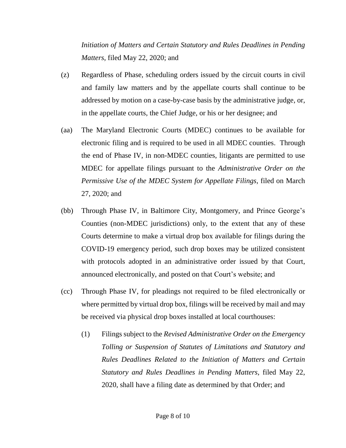*Initiation of Matters and Certain Statutory and Rules Deadlines in Pending Matters*, filed May 22, 2020; and

- (z) Regardless of Phase, scheduling orders issued by the circuit courts in civil and family law matters and by the appellate courts shall continue to be addressed by motion on a case-by-case basis by the administrative judge, or, in the appellate courts, the Chief Judge, or his or her designee; and
- (aa) The Maryland Electronic Courts (MDEC) continues to be available for electronic filing and is required to be used in all MDEC counties. Through the end of Phase IV, in non-MDEC counties, litigants are permitted to use MDEC for appellate filings pursuant to the *Administrative Order on the Permissive Use of the MDEC System for Appellate Filings*, filed on March 27, 2020; and
- (bb) Through Phase IV, in Baltimore City, Montgomery, and Prince George's Counties (non-MDEC jurisdictions) only, to the extent that any of these Courts determine to make a virtual drop box available for filings during the COVID-19 emergency period, such drop boxes may be utilized consistent with protocols adopted in an administrative order issued by that Court, announced electronically, and posted on that Court's website; and
- (cc) Through Phase IV, for pleadings not required to be filed electronically or where permitted by virtual drop box, filings will be received by mail and may be received via physical drop boxes installed at local courthouses:
	- (1) Filings subject to the *Revised Administrative Order on the Emergency Tolling or Suspension of Statutes of Limitations and Statutory and Rules Deadlines Related to the Initiation of Matters and Certain Statutory and Rules Deadlines in Pending Matters*, filed May 22, 2020, shall have a filing date as determined by that Order; and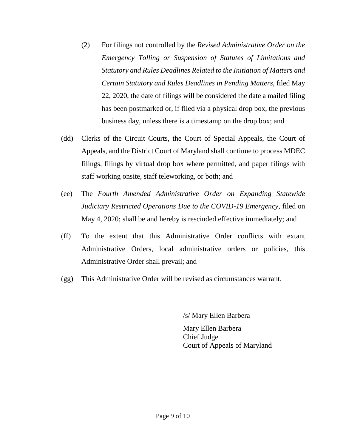- (2) For filings not controlled by the *Revised Administrative Order on the Emergency Tolling or Suspension of Statutes of Limitations and Statutory and Rules Deadlines Related to the Initiation of Matters and Certain Statutory and Rules Deadlines in Pending Matters*, filed May 22, 2020, the date of filings will be considered the date a mailed filing has been postmarked or, if filed via a physical drop box, the previous business day, unless there is a timestamp on the drop box; and
- (dd) Clerks of the Circuit Courts, the Court of Special Appeals, the Court of Appeals, and the District Court of Maryland shall continue to process MDEC filings, filings by virtual drop box where permitted, and paper filings with staff working onsite, staff teleworking, or both; and
- (ee) The *Fourth Amended Administrative Order on Expanding Statewide Judiciary Restricted Operations Due to the COVID-19 Emergency*, filed on May 4, 2020; shall be and hereby is rescinded effective immediately; and
- (ff) To the extent that this Administrative Order conflicts with extant Administrative Orders, local administrative orders or policies, this Administrative Order shall prevail; and
- (gg) This Administrative Order will be revised as circumstances warrant.

/s/ Mary Ellen Barbera

Mary Ellen Barbera Chief Judge Court of Appeals of Maryland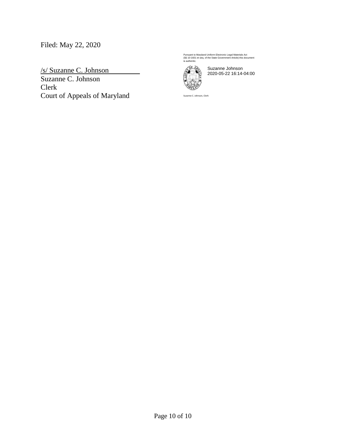## Filed: May 22, 2020

/s/ Suzanne C. Johnson Suzanne C. Johnson Clerk Court of Appeals of Maryland Pursuant to Maryland Uniform Electronic Legal Materials Act (§§ 10-1601 et seq. of the State Government Article) this document is authentic.



Suzanne Johnson 2020-05-22 16:14-04:00

Suzanne C. Johnson, Clerk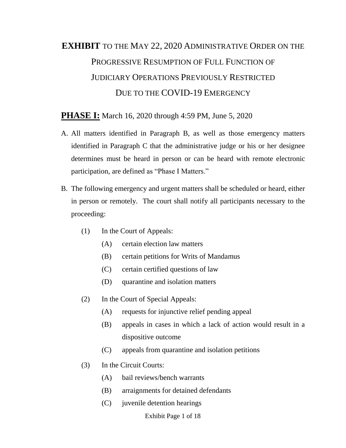# **EXHIBIT** TO THE MAY 22, 2020 ADMINISTRATIVE ORDER ON THE PROGRESSIVE RESUMPTION OF FULL FUNCTION OF JUDICIARY OPERATIONS PREVIOUSLY RESTRICTED DUE TO THE COVID-19 EMERGENCY

#### **PHASE I:** March 16, 2020 through 4:59 PM, June 5, 2020

- A. All matters identified in Paragraph B, as well as those emergency matters identified in Paragraph C that the administrative judge or his or her designee determines must be heard in person or can be heard with remote electronic participation, are defined as "Phase I Matters."
- B. The following emergency and urgent matters shall be scheduled or heard, either in person or remotely. The court shall notify all participants necessary to the proceeding:
	- (1) In the Court of Appeals:
		- (A) certain election law matters
		- (B) certain petitions for Writs of Mandamus
		- (C) certain certified questions of law
		- (D) quarantine and isolation matters
	- (2) In the Court of Special Appeals:
		- (A) requests for injunctive relief pending appeal
		- (B) appeals in cases in which a lack of action would result in a dispositive outcome
		- (C) appeals from quarantine and isolation petitions
	- (3) In the Circuit Courts:
		- (A) bail reviews/bench warrants
		- (B) arraignments for detained defendants
		- (C) juvenile detention hearings

Exhibit Page 1 of 18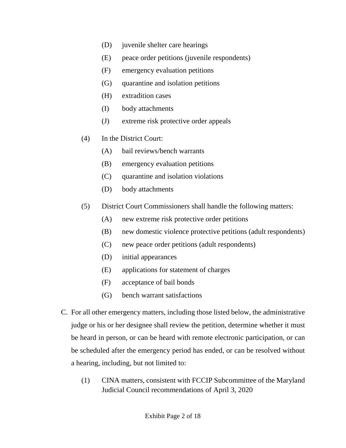- (D) juvenile shelter care hearings
- (E) peace order petitions (juvenile respondents)
- (F) emergency evaluation petitions
- (G) quarantine and isolation petitions
- (H) extradition cases
- (I) body attachments
- (J) extreme risk protective order appeals
- (4) In the District Court:
	- (A) bail reviews/bench warrants
	- (B) emergency evaluation petitions
	- (C) quarantine and isolation violations
	- (D) body attachments
- (5) District Court Commissioners shall handle the following matters:
	- (A) new extreme risk protective order petitions
	- (B) new domestic violence protective petitions (adult respondents)
	- (C) new peace order petitions (adult respondents)
	- (D) initial appearances
	- (E) applications for statement of charges
	- (F) acceptance of bail bonds
	- (G) bench warrant satisfactions
- C. For all other emergency matters, including those listed below, the administrative judge or his or her designee shall review the petition, determine whether it must be heard in person, or can be heard with remote electronic participation, or can be scheduled after the emergency period has ended, or can be resolved without a hearing, including, but not limited to:
	- (1) CINA matters, consistent with FCCIP Subcommittee of the Maryland Judicial Council recommendations of April 3, 2020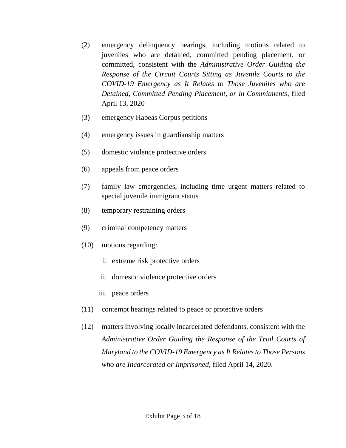- (2) emergency delinquency hearings, including motions related to juveniles who are detained, committed pending placement, or committed, consistent with the *Administrative Order Guiding the Response of the Circuit Courts Sitting as Juvenile Courts to the COVID-19 Emergency as It Relates to Those Juveniles who are Detained, Committed Pending Placement, or in Commitments*, filed April 13, 2020
- (3) emergency Habeas Corpus petitions
- (4) emergency issues in guardianship matters
- (5) domestic violence protective orders
- (6) appeals from peace orders
- (7) family law emergencies, including time urgent matters related to special juvenile immigrant status
- (8) temporary restraining orders
- (9) criminal competency matters
- (10) motions regarding:
	- i. extreme risk protective orders
	- ii. domestic violence protective orders
	- iii. peace orders
- (11) contempt hearings related to peace or protective orders
- (12) matters involving locally incarcerated defendants, consistent with the *Administrative Order Guiding the Response of the Trial Courts of Maryland to the COVID-19 Emergency as It Relates to Those Persons who are Incarcerated or Imprisoned*, filed April 14, 2020.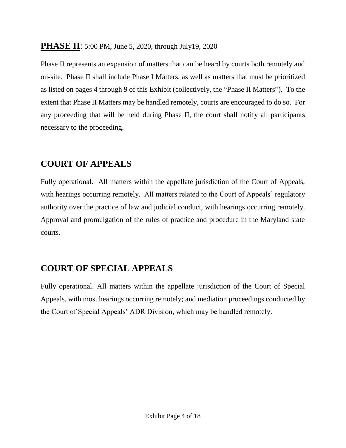### **PHASE II:** 5:00 PM, June 5, 2020, through July19, 2020

Phase II represents an expansion of matters that can be heard by courts both remotely and on-site. Phase II shall include Phase I Matters, as well as matters that must be prioritized as listed on pages 4 through 9 of this Exhibit (collectively, the "Phase II Matters"). To the extent that Phase II Matters may be handled remotely, courts are encouraged to do so. For any proceeding that will be held during Phase II, the court shall notify all participants necessary to the proceeding.

## **COURT OF APPEALS**

Fully operational. All matters within the appellate jurisdiction of the Court of Appeals, with hearings occurring remotely. All matters related to the Court of Appeals' regulatory authority over the practice of law and judicial conduct, with hearings occurring remotely. Approval and promulgation of the rules of practice and procedure in the Maryland state courts.

## **COURT OF SPECIAL APPEALS**

Fully operational. All matters within the appellate jurisdiction of the Court of Special Appeals, with most hearings occurring remotely; and mediation proceedings conducted by the Court of Special Appeals' ADR Division, which may be handled remotely.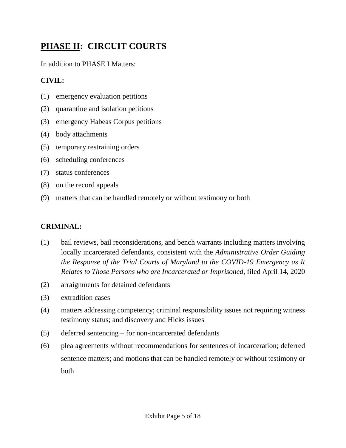## **PHASE II: CIRCUIT COURTS**

In addition to PHASE I Matters:

### **CIVIL:**

- (1) emergency evaluation petitions
- (2) quarantine and isolation petitions
- (3) emergency Habeas Corpus petitions
- (4) body attachments
- (5) temporary restraining orders
- (6) scheduling conferences
- (7) status conferences
- (8) on the record appeals
- (9) matters that can be handled remotely or without testimony or both

### **CRIMINAL:**

- (1) bail reviews, bail reconsiderations, and bench warrants including matters involving locally incarcerated defendants, consistent with the *Administrative Order Guiding the Response of the Trial Courts of Maryland to the COVID-19 Emergency as It Relates to Those Persons who are Incarcerated or Imprisoned*, filed April 14, 2020
- (2) arraignments for detained defendants
- (3) extradition cases
- (4) matters addressing competency; criminal responsibility issues not requiring witness testimony status; and discovery and Hicks issues
- (5) deferred sentencing for non-incarcerated defendants
- (6) plea agreements without recommendations for sentences of incarceration; deferred sentence matters; and motions that can be handled remotely or without testimony or both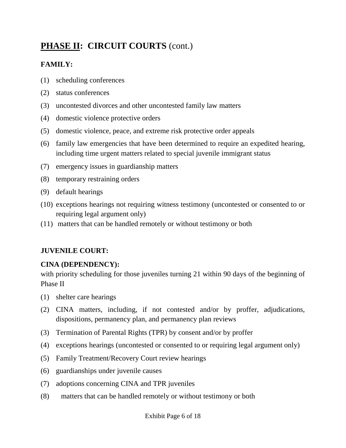## PHASE II: CIRCUIT COURTS (cont.)

### **FAMILY:**

- (1) scheduling conferences
- (2) status conferences
- (3) uncontested divorces and other uncontested family law matters
- (4) domestic violence protective orders
- (5) domestic violence, peace, and extreme risk protective order appeals
- (6) family law emergencies that have been determined to require an expedited hearing, including time urgent matters related to special juvenile immigrant status
- (7) emergency issues in guardianship matters
- (8) temporary restraining orders
- (9) default hearings
- (10) exceptions hearings not requiring witness testimony (uncontested or consented to or requiring legal argument only)
- (11) matters that can be handled remotely or without testimony or both

#### **JUVENILE COURT:**

#### **CINA (DEPENDENCY):**

with priority scheduling for those juveniles turning 21 within 90 days of the beginning of Phase II

- (1) shelter care hearings
- (2) CINA matters, including, if not contested and/or by proffer, adjudications, dispositions, permanency plan, and permanency plan reviews
- (3) Termination of Parental Rights (TPR) by consent and/or by proffer
- (4) exceptions hearings (uncontested or consented to or requiring legal argument only)
- (5) Family Treatment/Recovery Court review hearings
- (6) guardianships under juvenile causes
- (7) adoptions concerning CINA and TPR juveniles
- (8) matters that can be handled remotely or without testimony or both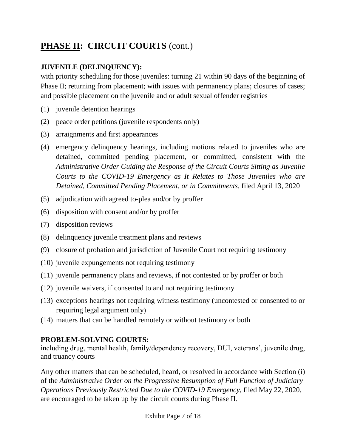## PHASE II: CIRCUIT COURTS (cont.)

#### **JUVENILE (DELINQUENCY):**

with priority scheduling for those juveniles: turning 21 within 90 days of the beginning of Phase II; returning from placement; with issues with permanency plans; closures of cases; and possible placement on the juvenile and or adult sexual offender registries

- (1) juvenile detention hearings
- (2) peace order petitions (juvenile respondents only)
- (3) arraignments and first appearances
- (4) emergency delinquency hearings, including motions related to juveniles who are detained, committed pending placement, or committed, consistent with the *Administrative Order Guiding the Response of the Circuit Courts Sitting as Juvenile Courts to the COVID-19 Emergency as It Relates to Those Juveniles who are Detained, Committed Pending Placement, or in Commitments,* filed April 13, 2020
- (5) adjudication with agreed to-plea and/or by proffer
- (6) disposition with consent and/or by proffer
- (7) disposition reviews
- (8) delinquency juvenile treatment plans and reviews
- (9) closure of probation and jurisdiction of Juvenile Court not requiring testimony
- (10) juvenile expungements not requiring testimony
- (11) juvenile permanency plans and reviews, if not contested or by proffer or both
- (12) juvenile waivers, if consented to and not requiring testimony
- (13) exceptions hearings not requiring witness testimony (uncontested or consented to or requiring legal argument only)
- (14) matters that can be handled remotely or without testimony or both

#### **PROBLEM-SOLVING COURTS:**

including drug, mental health, family/dependency recovery, DUI, veterans', juvenile drug, and truancy courts

Any other matters that can be scheduled, heard, or resolved in accordance with Section (i) of the *Administrative Order on the Progressive Resumption of Full Function of Judiciary Operations Previously Restricted Due to the COVID-19 Emergency*, filed May 22, 2020, are encouraged to be taken up by the circuit courts during Phase II.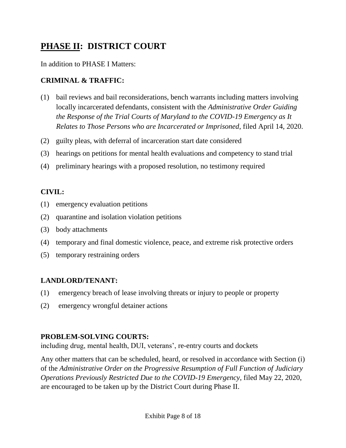## **PHASE II: DISTRICT COURT**

In addition to PHASE I Matters:

#### **CRIMINAL & TRAFFIC:**

- (1) bail reviews and bail reconsiderations, bench warrants including matters involving locally incarcerated defendants, consistent with the *Administrative Order Guiding the Response of the Trial Courts of Maryland to the COVID-19 Emergency as It Relates to Those Persons who are Incarcerated or Imprisoned*, filed April 14, 2020.
- (2) guilty pleas, with deferral of incarceration start date considered
- (3) hearings on petitions for mental health evaluations and competency to stand trial
- (4) preliminary hearings with a proposed resolution, no testimony required

#### **CIVIL:**

- (1) emergency evaluation petitions
- (2) quarantine and isolation violation petitions
- (3) body attachments
- (4) temporary and final domestic violence, peace, and extreme risk protective orders
- (5) temporary restraining orders

#### **LANDLORD/TENANT:**

- (1) emergency breach of lease involving threats or injury to people or property
- (2) emergency wrongful detainer actions

#### **PROBLEM-SOLVING COURTS:**

including drug, mental health, DUI, veterans', re-entry courts and dockets

Any other matters that can be scheduled, heard, or resolved in accordance with Section (i) of the *Administrative Order on the Progressive Resumption of Full Function of Judiciary Operations Previously Restricted Due to the COVID-19 Emergency*, filed May 22, 2020, are encouraged to be taken up by the District Court during Phase II.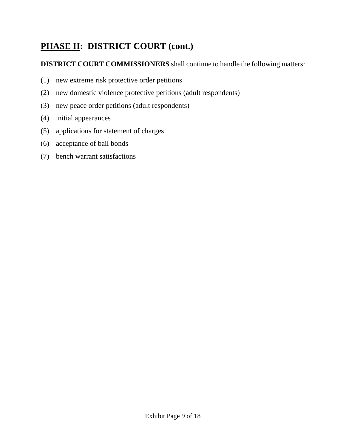## **PHASE II: DISTRICT COURT (cont.)**

## **DISTRICT COURT COMMISSIONERS** shall continue to handle the following matters:

- (1) new extreme risk protective order petitions
- (2) new domestic violence protective petitions (adult respondents)
- (3) new peace order petitions (adult respondents)
- (4) initial appearances
- (5) applications for statement of charges
- (6) acceptance of bail bonds
- (7) bench warrant satisfactions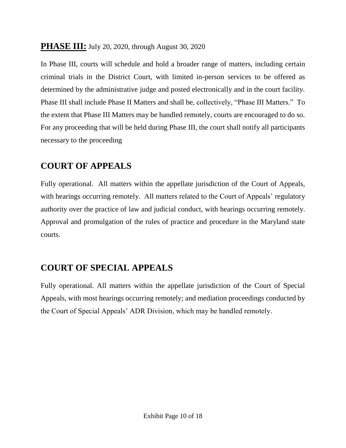### **PHASE III:** July 20, 2020, through August 30, 2020

In Phase III, courts will schedule and hold a broader range of matters, including certain criminal trials in the District Court, with limited in-person services to be offered as determined by the administrative judge and posted electronically and in the court facility. Phase III shall include Phase II Matters and shall be, collectively, "Phase III Matters." To the extent that Phase III Matters may be handled remotely, courts are encouraged to do so. For any proceeding that will be held during Phase III, the court shall notify all participants necessary to the proceeding

## **COURT OF APPEALS**

Fully operational. All matters within the appellate jurisdiction of the Court of Appeals, with hearings occurring remotely. All matters related to the Court of Appeals' regulatory authority over the practice of law and judicial conduct, with hearings occurring remotely. Approval and promulgation of the rules of practice and procedure in the Maryland state courts.

## **COURT OF SPECIAL APPEALS**

Fully operational. All matters within the appellate jurisdiction of the Court of Special Appeals, with most hearings occurring remotely; and mediation proceedings conducted by the Court of Special Appeals' ADR Division, which may be handled remotely.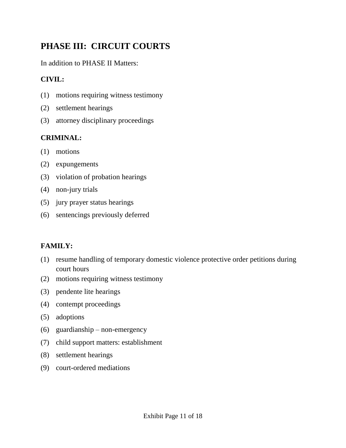## **PHASE III: CIRCUIT COURTS**

In addition to PHASE II Matters:

#### **CIVIL:**

- (1) motions requiring witness testimony
- (2) settlement hearings
- (3) attorney disciplinary proceedings

#### **CRIMINAL:**

- (1) motions
- (2) expungements
- (3) violation of probation hearings
- (4) non-jury trials
- (5) jury prayer status hearings
- (6) sentencings previously deferred

#### **FAMILY:**

- (1) resume handling of temporary domestic violence protective order petitions during court hours
- (2) motions requiring witness testimony
- (3) pendente lite hearings
- (4) contempt proceedings
- (5) adoptions
- (6) guardianship non-emergency
- (7) child support matters: establishment
- (8) settlement hearings
- (9) court-ordered mediations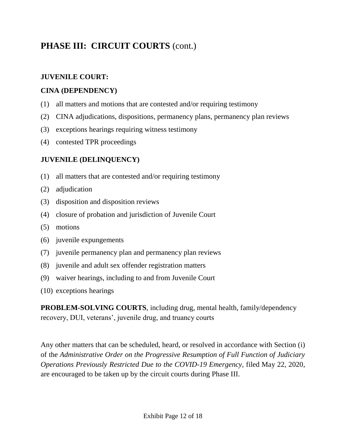## PHASE III: CIRCUIT COURTS (cont.)

#### **JUVENILE COURT:**

#### **CINA (DEPENDENCY)**

- (1) all matters and motions that are contested and/or requiring testimony
- (2) CINA adjudications, dispositions, permanency plans, permanency plan reviews
- (3) exceptions hearings requiring witness testimony
- (4) contested TPR proceedings

#### **JUVENILE (DELINQUENCY)**

- (1) all matters that are contested and/or requiring testimony
- (2) adjudication
- (3) disposition and disposition reviews
- (4) closure of probation and jurisdiction of Juvenile Court
- (5) motions
- (6) juvenile expungements
- (7) juvenile permanency plan and permanency plan reviews
- (8) juvenile and adult sex offender registration matters
- (9) waiver hearings, including to and from Juvenile Court
- (10) exceptions hearings

**PROBLEM-SOLVING COURTS**, including drug, mental health, family/dependency recovery, DUI, veterans', juvenile drug, and truancy courts

Any other matters that can be scheduled, heard, or resolved in accordance with Section (i) of the *Administrative Order on the Progressive Resumption of Full Function of Judiciary Operations Previously Restricted Due to the COVID-19 Emergency,* filed May 22, 2020, are encouraged to be taken up by the circuit courts during Phase III.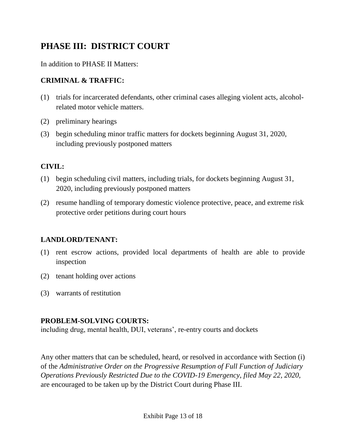## **PHASE III: DISTRICT COURT**

In addition to PHASE II Matters:

#### **CRIMINAL & TRAFFIC:**

- (1) trials for incarcerated defendants, other criminal cases alleging violent acts, alcoholrelated motor vehicle matters.
- (2) preliminary hearings
- (3) begin scheduling minor traffic matters for dockets beginning August 31, 2020, including previously postponed matters

#### **CIVIL:**

- (1) begin scheduling civil matters, including trials, for dockets beginning August 31, 2020, including previously postponed matters
- (2) resume handling of temporary domestic violence protective, peace, and extreme risk protective order petitions during court hours

#### **LANDLORD/TENANT:**

- (1) rent escrow actions, provided local departments of health are able to provide inspection
- (2) tenant holding over actions
- (3) warrants of restitution

#### **PROBLEM-SOLVING COURTS:**

including drug, mental health, DUI, veterans', re-entry courts and dockets

Any other matters that can be scheduled, heard, or resolved in accordance with Section (i) of the *Administrative Order on the Progressive Resumption of Full Function of Judiciary Operations Previously Restricted Due to the COVID-19 Emergency, filed May 22, 2020,*  are encouraged to be taken up by the District Court during Phase III.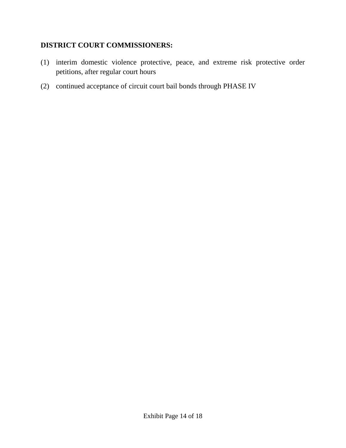#### **DISTRICT COURT COMMISSIONERS:**

- (1) interim domestic violence protective, peace, and extreme risk protective order petitions, after regular court hours
- (2) continued acceptance of circuit court bail bonds through PHASE IV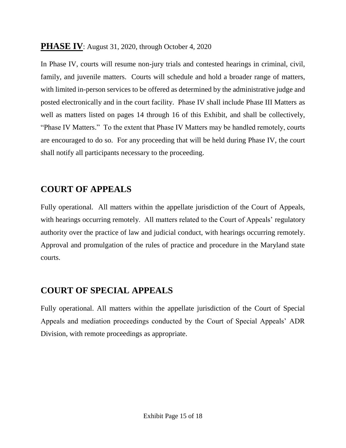### **PHASE IV:** August 31, 2020, through October 4, 2020

In Phase IV, courts will resume non-jury trials and contested hearings in criminal, civil, family, and juvenile matters. Courts will schedule and hold a broader range of matters, with limited in-person services to be offered as determined by the administrative judge and posted electronically and in the court facility. Phase IV shall include Phase III Matters as well as matters listed on pages 14 through 16 of this Exhibit, and shall be collectively, "Phase IV Matters." To the extent that Phase IV Matters may be handled remotely, courts are encouraged to do so. For any proceeding that will be held during Phase IV, the court shall notify all participants necessary to the proceeding.

## **COURT OF APPEALS**

Fully operational. All matters within the appellate jurisdiction of the Court of Appeals, with hearings occurring remotely. All matters related to the Court of Appeals' regulatory authority over the practice of law and judicial conduct, with hearings occurring remotely. Approval and promulgation of the rules of practice and procedure in the Maryland state courts.

## **COURT OF SPECIAL APPEALS**

Fully operational. All matters within the appellate jurisdiction of the Court of Special Appeals and mediation proceedings conducted by the Court of Special Appeals' ADR Division, with remote proceedings as appropriate.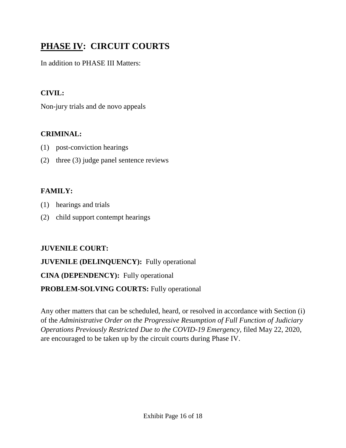## **PHASE IV: CIRCUIT COURTS**

In addition to PHASE III Matters:

### **CIVIL:**

Non-jury trials and de novo appeals

#### **CRIMINAL:**

- (1) post-conviction hearings
- (2) three (3) judge panel sentence reviews

### **FAMILY:**

- (1) hearings and trials
- (2) child support contempt hearings

### **JUVENILE COURT:**

### **JUVENILE (DELINQUENCY):** Fully operational

### **CINA (DEPENDENCY):** Fully operational

### **PROBLEM-SOLVING COURTS:** Fully operational

Any other matters that can be scheduled, heard, or resolved in accordance with Section (i) of the *Administrative Order on the Progressive Resumption of Full Function of Judiciary Operations Previously Restricted Due to the COVID-19 Emergency,* filed May 22, 2020, are encouraged to be taken up by the circuit courts during Phase IV.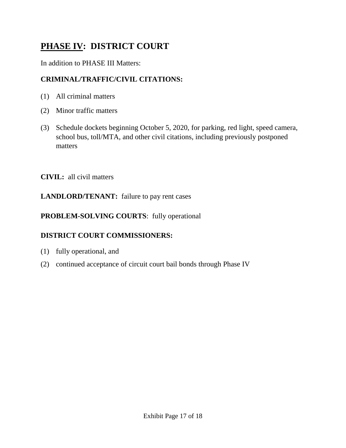## **PHASE IV: DISTRICT COURT**

#### In addition to PHASE III Matters:

#### **CRIMINAL/TRAFFIC/CIVIL CITATIONS:**

- (1) All criminal matters
- (2) Minor traffic matters
- (3) Schedule dockets beginning October 5, 2020, for parking, red light, speed camera, school bus, toll/MTA, and other civil citations, including previously postponed matters

**CIVIL:** all civil matters

#### **LANDLORD/TENANT:** failure to pay rent cases

#### **PROBLEM-SOLVING COURTS**: fully operational

#### **DISTRICT COURT COMMISSIONERS:**

- (1) fully operational, and
- (2) continued acceptance of circuit court bail bonds through Phase IV